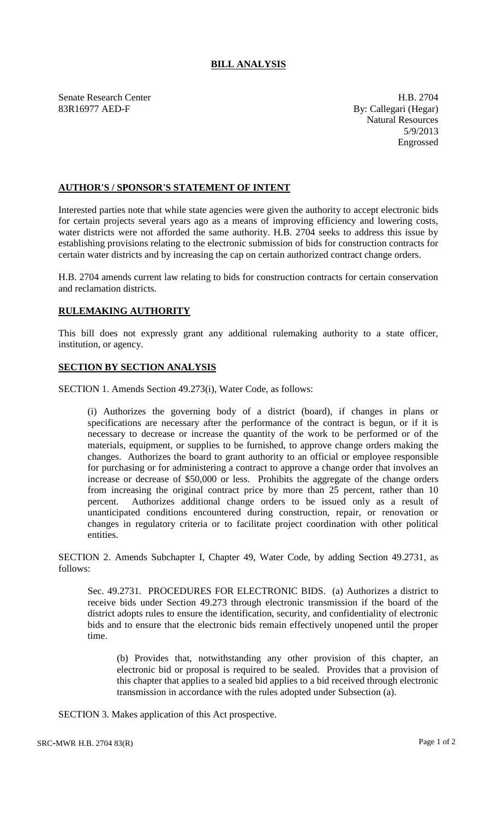## **BILL ANALYSIS**

Senate Research Center **H.B. 2704** 83R16977 AED-F By: Callegari (Hegar)

Natural Resources 5/9/2013 Engrossed

## **AUTHOR'S / SPONSOR'S STATEMENT OF INTENT**

Interested parties note that while state agencies were given the authority to accept electronic bids for certain projects several years ago as a means of improving efficiency and lowering costs, water districts were not afforded the same authority. H.B. 2704 seeks to address this issue by establishing provisions relating to the electronic submission of bids for construction contracts for certain water districts and by increasing the cap on certain authorized contract change orders.

H.B. 2704 amends current law relating to bids for construction contracts for certain conservation and reclamation districts.

## **RULEMAKING AUTHORITY**

This bill does not expressly grant any additional rulemaking authority to a state officer, institution, or agency.

## **SECTION BY SECTION ANALYSIS**

SECTION 1. Amends Section 49.273(i), Water Code, as follows:

(i) Authorizes the governing body of a district (board), if changes in plans or specifications are necessary after the performance of the contract is begun, or if it is necessary to decrease or increase the quantity of the work to be performed or of the materials, equipment, or supplies to be furnished, to approve change orders making the changes. Authorizes the board to grant authority to an official or employee responsible for purchasing or for administering a contract to approve a change order that involves an increase or decrease of \$50,000 or less. Prohibits the aggregate of the change orders from increasing the original contract price by more than 25 percent, rather than 10 percent. Authorizes additional change orders to be issued only as a result of unanticipated conditions encountered during construction, repair, or renovation or changes in regulatory criteria or to facilitate project coordination with other political entities.

SECTION 2. Amends Subchapter I, Chapter 49, Water Code, by adding Section 49.2731, as follows:

Sec. 49.2731. PROCEDURES FOR ELECTRONIC BIDS. (a) Authorizes a district to receive bids under Section 49.273 through electronic transmission if the board of the district adopts rules to ensure the identification, security, and confidentiality of electronic bids and to ensure that the electronic bids remain effectively unopened until the proper time.

(b) Provides that, notwithstanding any other provision of this chapter, an electronic bid or proposal is required to be sealed. Provides that a provision of this chapter that applies to a sealed bid applies to a bid received through electronic transmission in accordance with the rules adopted under Subsection (a).

SECTION 3. Makes application of this Act prospective.